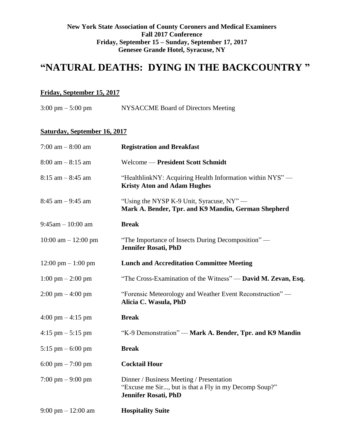## **New York State Association of County Coroners and Medical Examiners Fall 2017 Conference Friday, September 15 – Sunday, September 17, 2017 Genesee Grande Hotel, Syracuse, NY**

# **"NATURAL DEATHS: DYING IN THE BACKCOUNTRY "**

# **Friday, September 15, 2017**

3:00 pm – 5:00 pm NYSACCME Board of Directors Meeting

# **Saturday, September 16, 2017**

| 7:00 am $-8:00$ am                   | <b>Registration and Breakfast</b>                                                                                                |
|--------------------------------------|----------------------------------------------------------------------------------------------------------------------------------|
| $8:00$ am $-8:15$ am                 | Welcome — President Scott Schmidt                                                                                                |
| $8:15$ am $-8:45$ am                 | "HealthlinkNY: Acquiring Health Information within NYS" —<br><b>Kristy Aton and Adam Hughes</b>                                  |
| $8:45$ am $-9:45$ am                 | "Using the NYSP K-9 Unit, Syracuse, NY"—<br>Mark A. Bender, Tpr. and K9 Mandin, German Shepherd                                  |
| $9:45$ am $-10:00$ am                | <b>Break</b>                                                                                                                     |
| $10:00$ am $- 12:00$ pm              | "The Importance of Insects During Decomposition" —<br><b>Jennifer Rosati, PhD</b>                                                |
| $12:00 \text{ pm} - 1:00 \text{ pm}$ | <b>Lunch and Accreditation Committee Meeting</b>                                                                                 |
| $1:00 \text{ pm} - 2:00 \text{ pm}$  | "The Cross-Examination of the Witness" — David M. Zevan, Esq.                                                                    |
| $2:00 \text{ pm} - 4:00 \text{ pm}$  | "Forensic Meteorology and Weather Event Reconstruction" -<br>Alicia C. Wasula, PhD                                               |
| $4:00 \text{ pm} - 4:15 \text{ pm}$  | <b>Break</b>                                                                                                                     |
| $4:15$ pm $-5:15$ pm                 | "K-9 Demonstration" — Mark A. Bender, Tpr. and K9 Mandin                                                                         |
| 5:15 pm $-$ 6:00 pm                  | <b>Break</b>                                                                                                                     |
| 6:00 pm $- 7:00$ pm                  | <b>Cocktail Hour</b>                                                                                                             |
| 7:00 pm $-$ 9:00 pm                  | Dinner / Business Meeting / Presentation<br>"Excuse me Sir, but is that a Fly in my Decomp Soup?"<br><b>Jennifer Rosati, PhD</b> |
| 9:00 pm $- 12:00$ am                 | <b>Hospitality Suite</b>                                                                                                         |